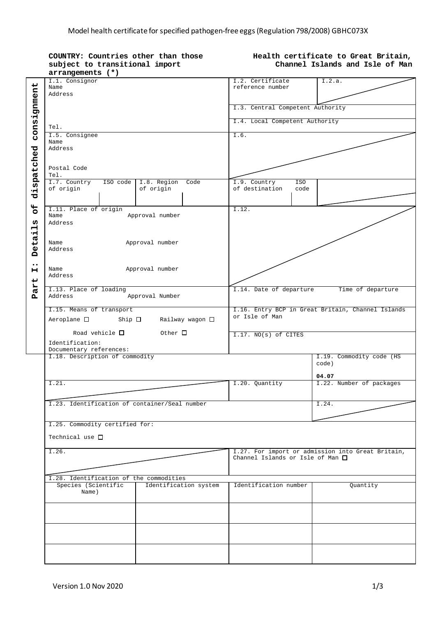|                         | COUNTRY: Countries other than those<br>subject to transitional import<br>$arrangements$ (*) | Health certificate to Great Britain,<br>Channel Islands and Isle of Man |                                                   |  |
|-------------------------|---------------------------------------------------------------------------------------------|-------------------------------------------------------------------------|---------------------------------------------------|--|
|                         |                                                                                             |                                                                         |                                                   |  |
|                         | I.1. Consignor                                                                              | I.2. Certificate                                                        | I.2.a.                                            |  |
|                         | Name                                                                                        | reference number                                                        |                                                   |  |
|                         | Address                                                                                     |                                                                         |                                                   |  |
|                         |                                                                                             |                                                                         |                                                   |  |
|                         |                                                                                             | I.3. Central Competent Authority                                        |                                                   |  |
| consignment             |                                                                                             | I.4. Local Competent Authority                                          |                                                   |  |
|                         | Tel.                                                                                        |                                                                         |                                                   |  |
|                         | I.5. Consignee                                                                              | I.6.                                                                    |                                                   |  |
|                         | Name                                                                                        |                                                                         |                                                   |  |
|                         | Address                                                                                     |                                                                         |                                                   |  |
|                         |                                                                                             |                                                                         |                                                   |  |
|                         |                                                                                             |                                                                         |                                                   |  |
|                         | Postal Code                                                                                 |                                                                         |                                                   |  |
| dispatched              | Tel.                                                                                        |                                                                         |                                                   |  |
|                         | I.7. Country<br>ISO code<br>I.8. Region Code                                                | I.9. Country<br><b>ISO</b>                                              |                                                   |  |
|                         | of origin<br>of origin                                                                      | of destination<br>code                                                  |                                                   |  |
|                         |                                                                                             |                                                                         |                                                   |  |
|                         |                                                                                             |                                                                         |                                                   |  |
| $\mathbf{H}$<br>$\circ$ | I.11. Place of origin                                                                       | I.12.                                                                   |                                                   |  |
|                         | Name<br>Approval number                                                                     |                                                                         |                                                   |  |
| ω                       | Address                                                                                     |                                                                         |                                                   |  |
| 류                       |                                                                                             |                                                                         |                                                   |  |
|                         |                                                                                             |                                                                         |                                                   |  |
| eta                     | Approval number<br>Name                                                                     |                                                                         |                                                   |  |
| Ă                       | Address                                                                                     |                                                                         |                                                   |  |
|                         |                                                                                             |                                                                         |                                                   |  |
| $\bullet\bullet$        | Approval number<br>Name                                                                     |                                                                         |                                                   |  |
| н                       | Address                                                                                     |                                                                         |                                                   |  |
|                         |                                                                                             |                                                                         |                                                   |  |
| Part                    | I.13. Place of loading                                                                      | I.14. Date of departure                                                 | Time of departure                                 |  |
|                         | Address<br>Approval Number                                                                  |                                                                         |                                                   |  |
|                         |                                                                                             |                                                                         |                                                   |  |
|                         | I.15. Means of transport                                                                    |                                                                         | I.16. Entry BCP in Great Britain, Channel Islands |  |
|                         | Aeroplane $\square$ Ship $\square$<br>Railway wagon □                                       | or Isle of Man                                                          |                                                   |  |
|                         |                                                                                             |                                                                         |                                                   |  |
|                         | Road vehicle $\Box$<br>Other $\Box$                                                         | I.17. NO(s) of CITES                                                    |                                                   |  |
|                         |                                                                                             |                                                                         |                                                   |  |
|                         | Identification:<br>Documentary references:                                                  |                                                                         |                                                   |  |
|                         | I.18. Description of commodity                                                              |                                                                         | I.19. Commodity code (HS                          |  |
|                         |                                                                                             |                                                                         | code)                                             |  |
|                         |                                                                                             |                                                                         |                                                   |  |
|                         |                                                                                             |                                                                         | 04.07                                             |  |
|                         | I.21.                                                                                       | I.20. Quantity                                                          | I.22. Number of packages                          |  |
|                         |                                                                                             |                                                                         |                                                   |  |
|                         |                                                                                             |                                                                         |                                                   |  |
|                         | I.23. Identification of container/Seal number                                               |                                                                         | I.24.                                             |  |
|                         |                                                                                             |                                                                         |                                                   |  |
|                         |                                                                                             |                                                                         |                                                   |  |
|                         | I.25. Commodity certified for:                                                              |                                                                         |                                                   |  |
|                         | Technical use $\Box$                                                                        |                                                                         |                                                   |  |
|                         |                                                                                             |                                                                         |                                                   |  |
|                         | I.26.                                                                                       |                                                                         | I.27. For import or admission into Great Britain, |  |
|                         |                                                                                             | Channel Islands or Isle of Man $\square$                                |                                                   |  |
|                         |                                                                                             |                                                                         |                                                   |  |
|                         |                                                                                             |                                                                         |                                                   |  |
|                         | I.28. Identification of the commodities                                                     |                                                                         |                                                   |  |
|                         | Species (Scientific<br>Identification system                                                | Identification number                                                   | Quantity                                          |  |
|                         | Name)                                                                                       |                                                                         |                                                   |  |
|                         |                                                                                             |                                                                         |                                                   |  |
|                         |                                                                                             |                                                                         |                                                   |  |
|                         |                                                                                             |                                                                         |                                                   |  |
|                         |                                                                                             |                                                                         |                                                   |  |
|                         |                                                                                             |                                                                         |                                                   |  |
|                         |                                                                                             |                                                                         |                                                   |  |
|                         |                                                                                             |                                                                         |                                                   |  |
|                         |                                                                                             |                                                                         |                                                   |  |
|                         |                                                                                             |                                                                         |                                                   |  |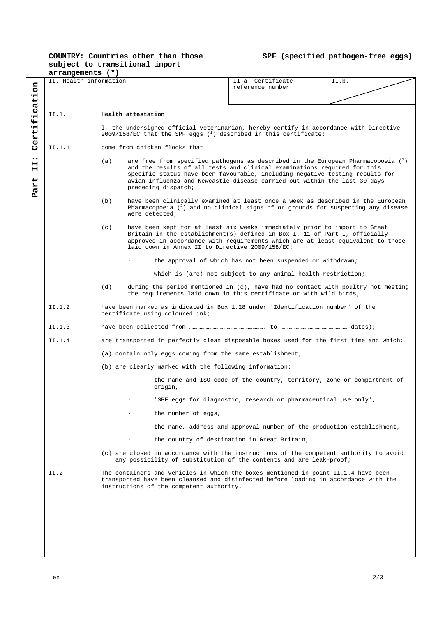## **COUNTRY: Countries other than those subject to transitional import**

**SPF (specified pathogen-free eggs)**

|                                                                                                                                                               | arrangements (*)       |                                                                                                                                                                           |                                                                                                                                                                                                                                                                                                |                                                                                                                                                                                                                                                                                                                                      |  |  |  |  |
|---------------------------------------------------------------------------------------------------------------------------------------------------------------|------------------------|---------------------------------------------------------------------------------------------------------------------------------------------------------------------------|------------------------------------------------------------------------------------------------------------------------------------------------------------------------------------------------------------------------------------------------------------------------------------------------|--------------------------------------------------------------------------------------------------------------------------------------------------------------------------------------------------------------------------------------------------------------------------------------------------------------------------------------|--|--|--|--|
|                                                                                                                                                               | II. Health information |                                                                                                                                                                           | II.a. Certificate<br>reference number                                                                                                                                                                                                                                                          | II.b.                                                                                                                                                                                                                                                                                                                                |  |  |  |  |
|                                                                                                                                                               |                        |                                                                                                                                                                           |                                                                                                                                                                                                                                                                                                |                                                                                                                                                                                                                                                                                                                                      |  |  |  |  |
|                                                                                                                                                               |                        |                                                                                                                                                                           |                                                                                                                                                                                                                                                                                                |                                                                                                                                                                                                                                                                                                                                      |  |  |  |  |
| ication<br>Ψİ<br>Certi                                                                                                                                        | II.1.                  |                                                                                                                                                                           | Health attestation                                                                                                                                                                                                                                                                             |                                                                                                                                                                                                                                                                                                                                      |  |  |  |  |
|                                                                                                                                                               |                        | I, the undersigned official veterinarian, hereby certify in accordance with Directive<br>$2009/158$ /EC that the SPF eggs ( <sup>1</sup> ) described in this certificate: |                                                                                                                                                                                                                                                                                                |                                                                                                                                                                                                                                                                                                                                      |  |  |  |  |
|                                                                                                                                                               | II.1.1                 |                                                                                                                                                                           | come from chicken flocks that:                                                                                                                                                                                                                                                                 |                                                                                                                                                                                                                                                                                                                                      |  |  |  |  |
| $\bullet\bullet$<br>н<br>н<br>ى<br>ЯŁ                                                                                                                         |                        | (a)                                                                                                                                                                       | preceding dispatch;                                                                                                                                                                                                                                                                            | are free from specified pathogens as described in the European Pharmacopoeia $\binom{2}{3}$<br>and the results of all tests and clinical examinations required for this<br>specific status have been favourable, including negative testing results for<br>avian influenza and Newcastle disease carried out within the last 30 days |  |  |  |  |
| д                                                                                                                                                             |                        | (b)                                                                                                                                                                       | were detected;                                                                                                                                                                                                                                                                                 | have been clinically examined at least once a week as described in the European<br>Pharmacopoeia $(^2)$ and no clinical signs of or grounds for suspecting any disease                                                                                                                                                               |  |  |  |  |
|                                                                                                                                                               |                        | (c)                                                                                                                                                                       | have been kept for at least six weeks immediately prior to import to Great<br>Britain in the establishment(s) defined in Box I. 11 of Part I, officially<br>approved in accordance with requirements which are at least equivalent to those<br>laid down in Annex II to Directive 2009/158/EC: |                                                                                                                                                                                                                                                                                                                                      |  |  |  |  |
|                                                                                                                                                               |                        |                                                                                                                                                                           |                                                                                                                                                                                                                                                                                                | the approval of which has not been suspended or withdrawn;                                                                                                                                                                                                                                                                           |  |  |  |  |
|                                                                                                                                                               |                        |                                                                                                                                                                           |                                                                                                                                                                                                                                                                                                | which is (are) not subject to any animal health restriction;                                                                                                                                                                                                                                                                         |  |  |  |  |
|                                                                                                                                                               |                        | (d)                                                                                                                                                                       | during the period mentioned in (c), have had no contact with poultry not meeting<br>the requirements laid down in this certificate or with wild birds;                                                                                                                                         |                                                                                                                                                                                                                                                                                                                                      |  |  |  |  |
|                                                                                                                                                               | II.1.2                 | have been marked as indicated in Box 1.28 under 'Identification number' of the<br>certificate using coloured ink;                                                         |                                                                                                                                                                                                                                                                                                |                                                                                                                                                                                                                                                                                                                                      |  |  |  |  |
|                                                                                                                                                               | II.1.3                 |                                                                                                                                                                           |                                                                                                                                                                                                                                                                                                |                                                                                                                                                                                                                                                                                                                                      |  |  |  |  |
| II.1.4<br>are transported in perfectly clean disposable boxes used for the first time and which:<br>(a) contain only eggs coming from the same establishment; |                        |                                                                                                                                                                           |                                                                                                                                                                                                                                                                                                |                                                                                                                                                                                                                                                                                                                                      |  |  |  |  |
|                                                                                                                                                               |                        |                                                                                                                                                                           |                                                                                                                                                                                                                                                                                                |                                                                                                                                                                                                                                                                                                                                      |  |  |  |  |
|                                                                                                                                                               |                        |                                                                                                                                                                           | (b) are clearly marked with the following information:                                                                                                                                                                                                                                         |                                                                                                                                                                                                                                                                                                                                      |  |  |  |  |
|                                                                                                                                                               |                        |                                                                                                                                                                           | origin,                                                                                                                                                                                                                                                                                        | the name and ISO code of the country, territory, zone or compartment of                                                                                                                                                                                                                                                              |  |  |  |  |
|                                                                                                                                                               |                        |                                                                                                                                                                           |                                                                                                                                                                                                                                                                                                | 'SPF eggs for diagnostic, research or pharmaceutical use only',                                                                                                                                                                                                                                                                      |  |  |  |  |
|                                                                                                                                                               |                        |                                                                                                                                                                           | the number of eggs,                                                                                                                                                                                                                                                                            |                                                                                                                                                                                                                                                                                                                                      |  |  |  |  |
|                                                                                                                                                               |                        |                                                                                                                                                                           |                                                                                                                                                                                                                                                                                                | the name, address and approval number of the production establishment,                                                                                                                                                                                                                                                               |  |  |  |  |
|                                                                                                                                                               |                        |                                                                                                                                                                           |                                                                                                                                                                                                                                                                                                | the country of destination in Great Britain;                                                                                                                                                                                                                                                                                         |  |  |  |  |
|                                                                                                                                                               |                        |                                                                                                                                                                           | (c) are closed in accordance with the instructions of the competent authority to avoid<br>any possibility of substitution of the contents and are leak-proof;                                                                                                                                  |                                                                                                                                                                                                                                                                                                                                      |  |  |  |  |
|                                                                                                                                                               | II.2                   |                                                                                                                                                                           | The containers and vehicles in which the boxes mentioned in point II.1.4 have been<br>transported have been cleansed and disinfected before loading in accordance with the<br>instructions of the competent authority.                                                                         |                                                                                                                                                                                                                                                                                                                                      |  |  |  |  |
|                                                                                                                                                               |                        |                                                                                                                                                                           |                                                                                                                                                                                                                                                                                                |                                                                                                                                                                                                                                                                                                                                      |  |  |  |  |
|                                                                                                                                                               |                        |                                                                                                                                                                           |                                                                                                                                                                                                                                                                                                |                                                                                                                                                                                                                                                                                                                                      |  |  |  |  |
|                                                                                                                                                               |                        |                                                                                                                                                                           |                                                                                                                                                                                                                                                                                                |                                                                                                                                                                                                                                                                                                                                      |  |  |  |  |
|                                                                                                                                                               |                        |                                                                                                                                                                           |                                                                                                                                                                                                                                                                                                |                                                                                                                                                                                                                                                                                                                                      |  |  |  |  |